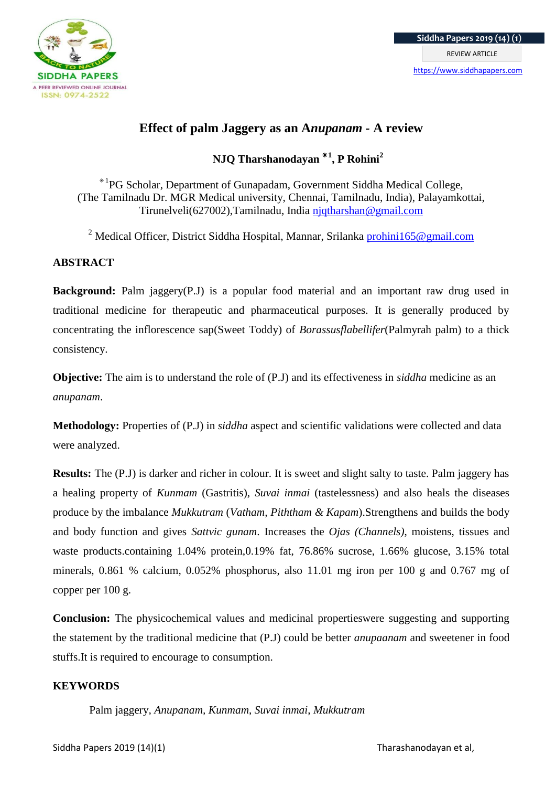

# **Effect of palm Jaggery as an A***nupanam -* **A review**

**NJQ Tharshanodayan** ⁕**<sup>1</sup> , P Rohini<sup>2</sup>**

\*<sup>1</sup>PG Scholar, Department of Gunapadam, Government Siddha Medical College, (The Tamilnadu Dr. MGR Medical university, Chennai, Tamilnadu, India), Palayamkottai, Tirunelveli(627002),Tamilnadu, India [njqtharshan@gmail.com](mailto:njqtharshan@gmail.com)

<sup>2</sup> Medical Officer, District Siddha Hospital, Mannar, Srilanka [prohini165@gmail.com](mailto:prohini165@gmail.com)

# **ABSTRACT**

**Background:** Palm jaggery(P.J) is a popular food material and an important raw drug used in traditional medicine for therapeutic and pharmaceutical purposes. It is generally produced by concentrating the inflorescence sap(Sweet Toddy) of *Borassusflabellifer*(Palmyrah palm) to a thick consistency.

**Objective:** The aim is to understand the role of (P.J) and its effectiveness in *siddha* medicine as an *anupanam*.

**Methodology:** Properties of (P.J) in *siddha* aspect and scientific validations were collected and data were analyzed.

**Results:** The (P.J) is darker and richer in colour. It is sweet and slight salty to taste. Palm jaggery has a healing property of *Kunmam* (Gastritis), *Suvai inmai* (tastelessness) and also heals the diseases produce by the imbalance *Mukkutram* (*Vatham, Piththam & Kapam*).Strengthens and builds the body and body function and gives *Sattvic gunam*. Increases the *Ojas (Channels)*, moistens, tissues and waste products.containing 1.04% protein,0.19% fat, 76.86% sucrose, 1.66% glucose, 3.15% total minerals, 0.861 % calcium, 0.052% phosphorus, also 11.01 mg iron per 100 g and 0.767 mg of copper per 100 g.

**Conclusion:** The physicochemical values and medicinal propertieswere suggesting and supporting the statement by the traditional medicine that (P.J) could be better *anupaanam* and sweetener in food stuffs.It is required to encourage to consumption.

# **KEYWORDS**

Palm jaggery*, Anupanam, Kunmam*, *Suvai inmai*, *Mukkutram*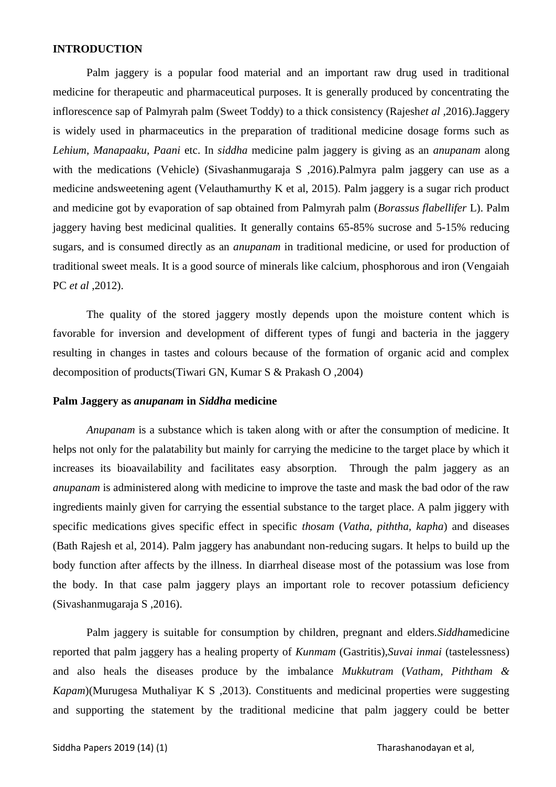#### **INTRODUCTION**

Palm jaggery is a popular food material and an important raw drug used in traditional medicine for therapeutic and pharmaceutical purposes. It is generally produced by concentrating the inflorescence sap of Palmyrah palm (Sweet Toddy) to a thick consistency (Rajesh*et al* ,2016).Jaggery is widely used in pharmaceutics in the preparation of traditional medicine dosage forms such as *Lehium, Manapaaku, Paani* etc. In *siddha* medicine palm jaggery is giving as an *anupanam* along with the medications (Vehicle) (Sivashanmugaraja S ,2016).Palmyra palm jaggery can use as a medicine andsweetening agent (Velauthamurthy K et al, 2015). Palm jaggery is a sugar rich product and medicine got by evaporation of sap obtained from Palmyrah palm (*Borassus flabellifer* L). Palm jaggery having best medicinal qualities. It generally contains 65-85% sucrose and 5-15% reducing sugars, and is consumed directly as an *anupanam* in traditional medicine, or used for production of traditional sweet meals. It is a good source of minerals like calcium, phosphorous and iron (Vengaiah PC *et al* ,2012).

The quality of the stored jaggery mostly depends upon the moisture content which is favorable for inversion and development of different types of fungi and bacteria in the jaggery resulting in changes in tastes and colours because of the formation of organic acid and complex decomposition of products(Tiwari GN, Kumar S & Prakash O ,2004)

#### **Palm Jaggery as** *anupanam* **in** *Siddha* **medicine**

*Anupanam* is a substance which is taken along with or after the consumption of medicine. It helps not only for the palatability but mainly for carrying the medicine to the target place by which it increases its bioavailability and facilitates easy absorption. Through the palm jaggery as an *anupanam* is administered along with medicine to improve the taste and mask the bad odor of the raw ingredients mainly given for carrying the essential substance to the target place. A palm jiggery with specific medications gives specific effect in specific *thosam* (*Vatha, piththa, kapha*) and diseases (Bath Rajesh et al, 2014). Palm jaggery has anabundant non-reducing sugars. It helps to build up the body function after affects by the illness. In diarrheal disease most of the potassium was lose from the body. In that case palm jaggery plays an important role to recover potassium deficiency (Sivashanmugaraja S ,2016).

Palm jaggery is suitable for consumption by children, pregnant and elders.*Siddha*medicine reported that palm jaggery has a healing property of *Kunmam* (Gastritis),*Suvai inmai* (tastelessness) and also heals the diseases produce by the imbalance *Mukkutram* (*Vatham, Piththam & Kapam*)(Murugesa Muthaliyar K S , 2013). Constituents and medicinal properties were suggesting and supporting the statement by the traditional medicine that palm jaggery could be better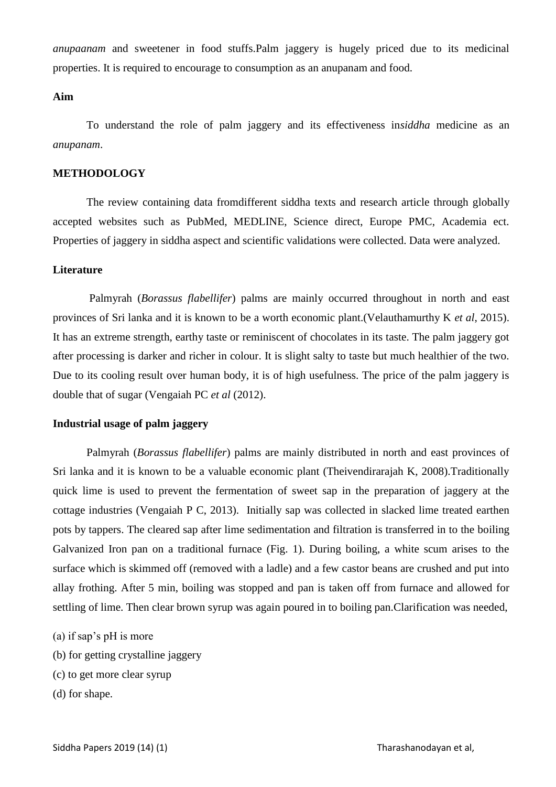*anupaanam* and sweetener in food stuffs.Palm jaggery is hugely priced due to its medicinal properties. It is required to encourage to consumption as an anupanam and food.

# **Aim**

To understand the role of palm jaggery and its effectiveness in*siddha* medicine as an *anupanam*.

#### **METHODOLOGY**

The review containing data fromdifferent siddha texts and research article through globally accepted websites such as PubMed, MEDLINE, Science direct, Europe PMC, Academia ect. Properties of jaggery in siddha aspect and scientific validations were collected. Data were analyzed.

#### **Literature**

Palmyrah (*Borassus flabellifer*) palms are mainly occurred throughout in north and east provinces of Sri lanka and it is known to be a worth economic plant.(Velauthamurthy K *et al*, 2015). It has an extreme strength, earthy taste or reminiscent of chocolates in its taste. The palm jaggery got after processing is darker and richer in colour. It is slight salty to taste but much healthier of the two. Due to its cooling result over human body, it is of high usefulness. The price of the palm jaggery is double that of sugar (Vengaiah PC *et al* (2012).

#### **Industrial usage of palm jaggery**

Palmyrah (*Borassus flabellifer*) palms are mainly distributed in north and east provinces of Sri lanka and it is known to be a valuable economic plant (Theivendirarajah K, 2008).Traditionally quick lime is used to prevent the fermentation of sweet sap in the preparation of jaggery at the cottage industries (Vengaiah P C, 2013). Initially sap was collected in slacked lime treated earthen pots by tappers. The cleared sap after lime sedimentation and filtration is transferred in to the boiling Galvanized Iron pan on a traditional furnace (Fig. 1). During boiling, a white scum arises to the surface which is skimmed off (removed with a ladle) and a few castor beans are crushed and put into allay frothing. After 5 min, boiling was stopped and pan is taken off from furnace and allowed for settling of lime. Then clear brown syrup was again poured in to boiling pan.Clarification was needed,

- (a) if sap's pH is more
- (b) for getting crystalline jaggery
- (c) to get more clear syrup
- (d) for shape.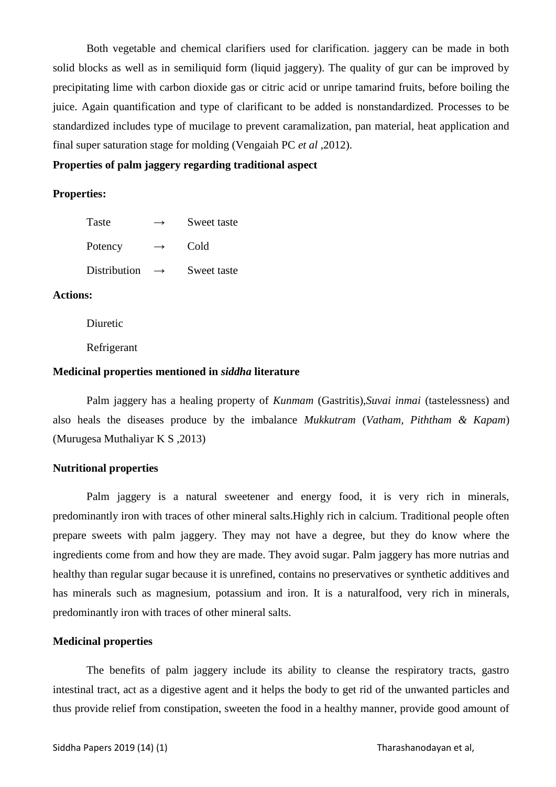Both vegetable and chemical clarifiers used for clarification. jaggery can be made in both solid blocks as well as in semiliquid form (liquid jaggery). The quality of gur can be improved by precipitating lime with carbon dioxide gas or citric acid or unripe tamarind fruits, before boiling the juice. Again quantification and type of clarificant to be added is nonstandardized. Processes to be standardized includes type of mucilage to prevent caramalization, pan material, heat application and final super saturation stage for molding (Vengaiah PC *et al* ,2012).

**Properties of palm jaggery regarding traditional aspect** 

#### **Properties:**

| Taste        | →             | Sweet taste |
|--------------|---------------|-------------|
| Potency      | $\rightarrow$ | Cold        |
| Distribution |               | Sweet taste |

## **Actions:**

Diuretic

Refrigerant

## **Medicinal properties mentioned in** *siddha* **literature**

Palm jaggery has a healing property of *Kunmam* (Gastritis),*Suvai inmai* (tastelessness) and also heals the diseases produce by the imbalance *Mukkutram* (*Vatham, Piththam & Kapam*) (Murugesa Muthaliyar K S ,2013)

# **Nutritional properties**

Palm jaggery is a natural sweetener and energy food, it is very rich in minerals, predominantly iron with traces of other mineral salts.Highly rich in calcium. Traditional people often prepare sweets with palm jaggery. They may not have a degree, but they do know where the ingredients come from and how they are made. They avoid sugar. Palm jaggery has more nutrias and healthy than regular sugar because it is unrefined, contains no preservatives or synthetic additives and has minerals such as magnesium, potassium and iron. It is a naturalfood, very rich in minerals, predominantly iron with traces of other mineral salts.

#### **Medicinal properties**

The benefits of palm jaggery include its ability to cleanse the respiratory tracts, gastro intestinal tract, act as a digestive agent and it helps the body to get rid of the unwanted particles and thus provide relief from constipation, sweeten the food in a healthy manner, provide good amount of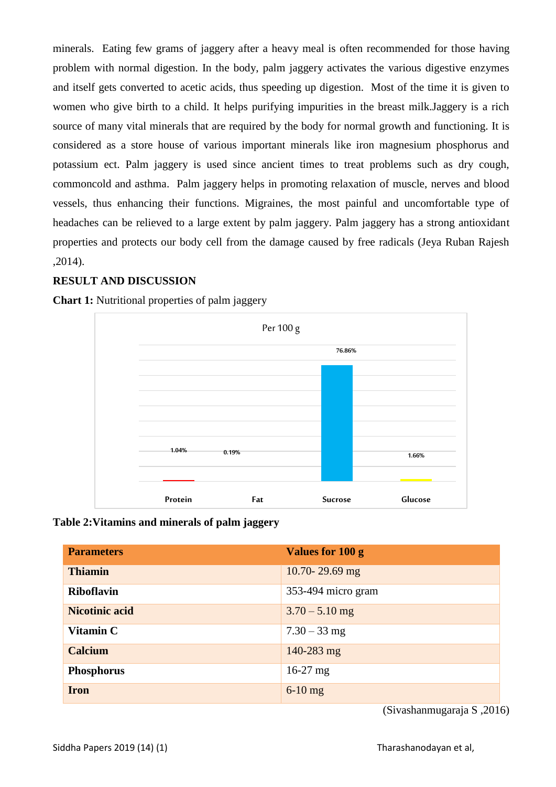minerals. Eating few grams of jaggery after a heavy meal is often recommended for those having problem with normal digestion. In the body, palm jaggery activates the various digestive enzymes and itself gets converted to acetic acids, thus speeding up digestion. Most of the time it is given to women who give birth to a child. It helps purifying impurities in the breast milk.Jaggery is a rich source of many vital minerals that are required by the body for normal growth and functioning. It is considered as a store house of various important minerals like iron magnesium phosphorus and potassium ect. Palm jaggery is used since ancient times to treat problems such as dry cough, commoncold and asthma. Palm jaggery helps in promoting relaxation of muscle, nerves and blood vessels, thus enhancing their functions. Migraines, the most painful and uncomfortable type of headaches can be relieved to a large extent by palm jaggery. Palm jaggery has a strong antioxidant properties and protects our body cell from the damage caused by free radicals (Jeya Ruban Rajesh ,2014).

## **RESULT AND DISCUSSION**

**Chart 1:** Nutritional properties of palm jaggery



**Table 2:Vitamins and minerals of palm jaggery** 

| <b>Parameters</b>     | Values for 100 g   |
|-----------------------|--------------------|
| <b>Thiamin</b>        | 10.70-29.69 mg     |
| <b>Riboflavin</b>     | 353-494 micro gram |
| <b>Nicotinic acid</b> | $3.70 - 5.10$ mg   |
| Vitamin C             | $7.30 - 33$ mg     |
| <b>Calcium</b>        | 140-283 mg         |
| <b>Phosphorus</b>     | $16-27$ mg         |
| <b>Iron</b>           | $6-10$ mg          |

(Sivashanmugaraja S ,2016)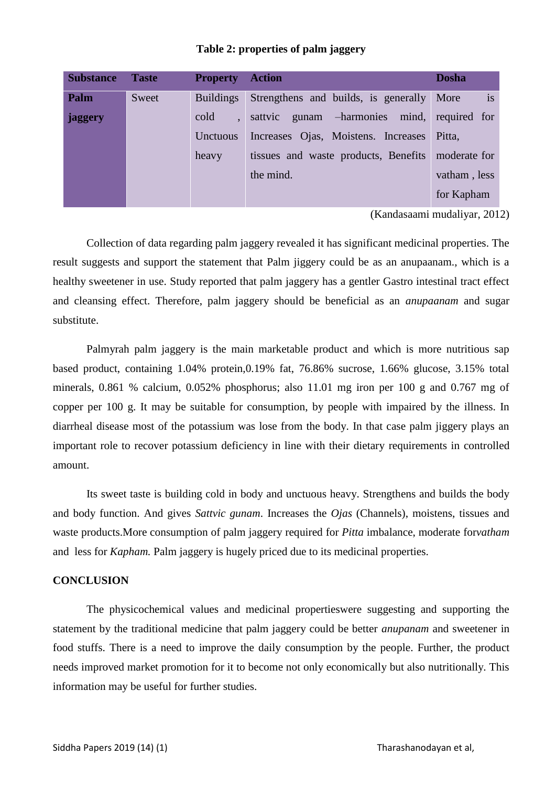| <b>Substance</b> | <b>Taste</b> | <b>Property Action</b> |                                                   | <b>Dosha</b> |
|------------------|--------------|------------------------|---------------------------------------------------|--------------|
| Palm             | Sweet        | <b>Buildings</b>       | Strengthens and builds, is generally More         | is           |
| jaggery          |              | cold                   | sattvic gunam -harmonies mind, required for       |              |
|                  |              | Unctuous               | Increases Ojas, Moistens. Increases Pitta,        |              |
|                  |              | heavy                  | tissues and waste products, Benefits moderate for |              |
|                  |              |                        | the mind.                                         | vatham, less |
|                  |              |                        |                                                   | for Kapham   |

#### **Table 2: properties of palm jaggery**

(Kandasaami mudaliyar, 2012)

Collection of data regarding palm jaggery revealed it has significant medicinal properties. The result suggests and support the statement that Palm jiggery could be as an anupaanam., which is a healthy sweetener in use. Study reported that palm jaggery has a gentler Gastro intestinal tract effect and cleansing effect. Therefore, palm jaggery should be beneficial as an *anupaanam* and sugar substitute.

Palmyrah palm jaggery is the main marketable product and which is more nutritious sap based product, containing 1.04% protein,0.19% fat, 76.86% sucrose, 1.66% glucose, 3.15% total minerals, 0.861 % calcium, 0.052% phosphorus; also 11.01 mg iron per 100 g and 0.767 mg of copper per 100 g. It may be suitable for consumption, by people with impaired by the illness. In diarrheal disease most of the potassium was lose from the body. In that case palm jiggery plays an important role to recover potassium deficiency in line with their dietary requirements in controlled amount.

Its sweet taste is building cold in body and unctuous heavy. Strengthens and builds the body and body function. And gives *Sattvic gunam*. Increases the *Ojas* (Channels), moistens, tissues and waste products.More consumption of palm jaggery required for *Pitta* imbalance, moderate for*vatham* and less for *Kapham.* Palm jaggery is hugely priced due to its medicinal properties.

#### **CONCLUSION**

The physicochemical values and medicinal propertieswere suggesting and supporting the statement by the traditional medicine that palm jaggery could be better *anupanam* and sweetener in food stuffs. There is a need to improve the daily consumption by the people. Further, the product needs improved market promotion for it to become not only economically but also nutritionally. This information may be useful for further studies.